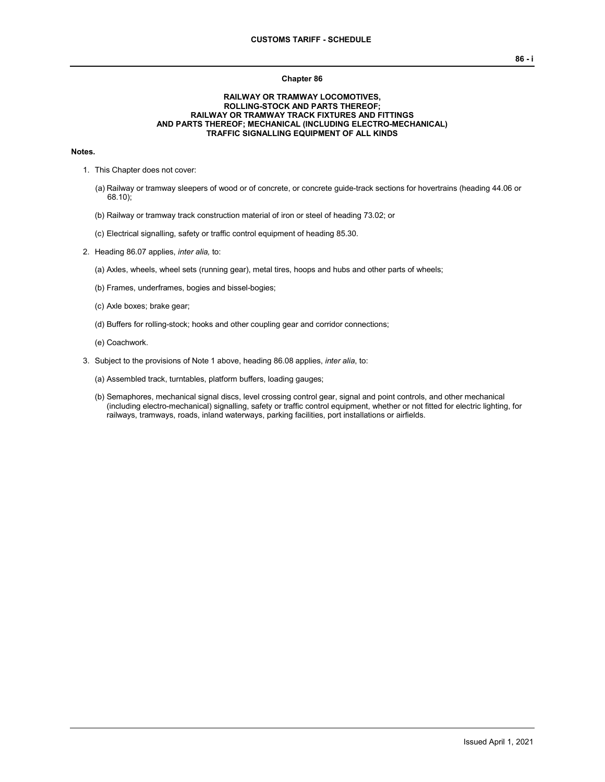#### **Chapter 86**

### **RAILWAY OR TRAMWAY LOCOMOTIVES, ROLLING-STOCK AND PARTS THEREOF; RAILWAY OR TRAMWAY TRACK FIXTURES AND FITTINGS AND PARTS THEREOF; MECHANICAL (INCLUDING ELECTRO-MECHANICAL) TRAFFIC SIGNALLING EQUIPMENT OF ALL KINDS**

## **Notes.**

- 1. This Chapter does not cover:
	- (a) Railway or tramway sleepers of wood or of concrete, or concrete guide-track sections for hovertrains (heading 44.06 or 68.10);
	- (b) Railway or tramway track construction material of iron or steel of heading 73.02; or
	- (c) Electrical signalling, safety or traffic control equipment of heading 85.30.
- 2. Heading 86.07 applies, *inter alia,* to:
	- (a) Axles, wheels, wheel sets (running gear), metal tires, hoops and hubs and other parts of wheels;
	- (b) Frames, underframes, bogies and bissel-bogies;
	- (c) Axle boxes; brake gear;
	- (d) Buffers for rolling-stock; hooks and other coupling gear and corridor connections;
	- (e) Coachwork.
- 3. Subject to the provisions of Note 1 above, heading 86.08 applies, *inter alia*, to:
	- (a) Assembled track, turntables, platform buffers, loading gauges;
	- (b) Semaphores, mechanical signal discs, level crossing control gear, signal and point controls, and other mechanical (including electro-mechanical) signalling, safety or traffic control equipment, whether or not fitted for electric lighting, for railways, tramways, roads, inland waterways, parking facilities, port installations or airfields.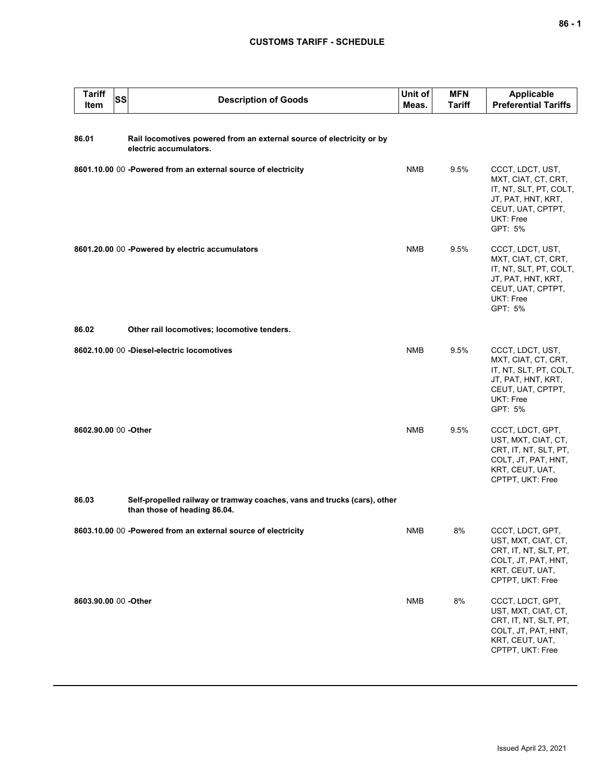## **CUSTOMS TARIFF - SCHEDULE**

| <b>Tariff</b><br>Item | <b>SS</b> | <b>Description of Goods</b>                                                                              | Unit of<br>Meas. | <b>MFN</b><br><b>Tariff</b> | <b>Applicable</b><br><b>Preferential Tariffs</b>                                                                                     |
|-----------------------|-----------|----------------------------------------------------------------------------------------------------------|------------------|-----------------------------|--------------------------------------------------------------------------------------------------------------------------------------|
| 86.01                 |           | Rail locomotives powered from an external source of electricity or by<br>electric accumulators.          |                  |                             |                                                                                                                                      |
|                       |           | 8601.10.00 00 -Powered from an external source of electricity                                            | <b>NMB</b>       | 9.5%                        | CCCT, LDCT, UST,<br>MXT, CIAT, CT, CRT,<br>IT, NT, SLT, PT, COLT,<br>JT, PAT, HNT, KRT,<br>CEUT, UAT, CPTPT,<br>UKT: Free<br>GPT: 5% |
|                       |           | 8601.20.00 00 - Powered by electric accumulators                                                         | <b>NMB</b>       | 9.5%                        | CCCT, LDCT, UST,<br>MXT, CIAT, CT, CRT,<br>IT, NT, SLT, PT, COLT,<br>JT, PAT, HNT, KRT,<br>CEUT, UAT, CPTPT,<br>UKT: Free<br>GPT: 5% |
| 86.02                 |           | Other rail locomotives; locomotive tenders.                                                              |                  |                             |                                                                                                                                      |
|                       |           | 8602.10.00 00 -Diesel-electric locomotives                                                               | NMB              | 9.5%                        | CCCT, LDCT, UST,<br>MXT, CIAT, CT, CRT,<br>IT, NT, SLT, PT, COLT,<br>JT, PAT, HNT, KRT,<br>CEUT, UAT, CPTPT,<br>UKT: Free<br>GPT: 5% |
| 8602.90.00 00 -Other  |           |                                                                                                          | <b>NMB</b>       | 9.5%                        | CCCT, LDCT, GPT,<br>UST, MXT, CIAT, CT,<br>CRT, IT, NT, SLT, PT,<br>COLT, JT, PAT, HNT,<br>KRT, CEUT, UAT,<br>CPTPT, UKT: Free       |
| 86.03                 |           | Self-propelled railway or tramway coaches, vans and trucks (cars), other<br>than those of heading 86.04. |                  |                             |                                                                                                                                      |
|                       |           | 8603.10.00 00 -Powered from an external source of electricity                                            | NMB              | 8%                          | CCCT, LDCT, GPT,<br>UST, MXT, CIAT, CT,<br>CRT, IT, NT, SLT, PT,<br>COLT, JT, PAT, HNT,<br>KRT, CEUT, UAT,<br>CPTPT, UKT: Free       |
| 8603.90.00 00 -Other  |           |                                                                                                          | <b>NMB</b>       | 8%                          | CCCT, LDCT, GPT,<br>UST, MXT, CIAT, CT,<br>CRT, IT, NT, SLT, PT,<br>COLT, JT, PAT, HNT,<br>KRT, CEUT, UAT,<br>CPTPT, UKT: Free       |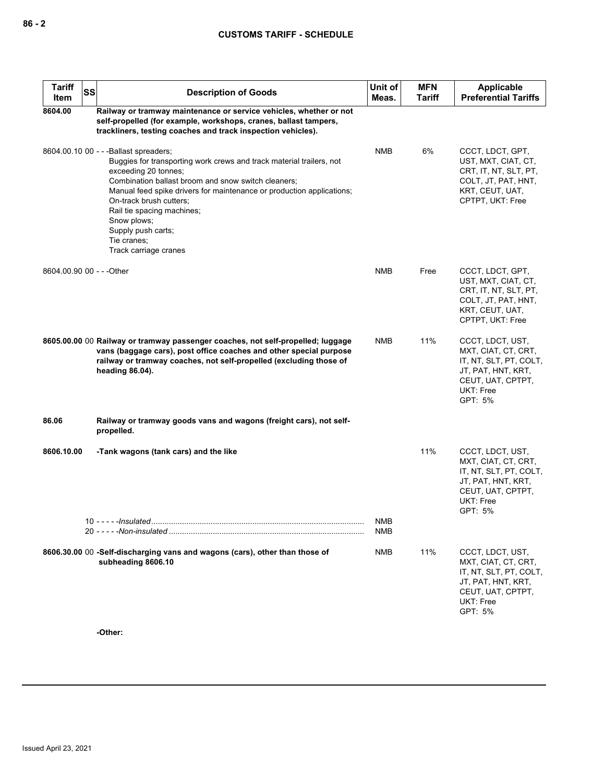# **CUSTOMS TARIFF - SCHEDULE**

| <b>Tariff</b><br>SS<br>Item | <b>Description of Goods</b>                                                                                                                                                                                                                                                                                                                                                                                  | Unit of<br>Meas.         | <b>MFN</b><br><b>Tariff</b> | Applicable<br><b>Preferential Tariffs</b>                                                                                            |
|-----------------------------|--------------------------------------------------------------------------------------------------------------------------------------------------------------------------------------------------------------------------------------------------------------------------------------------------------------------------------------------------------------------------------------------------------------|--------------------------|-----------------------------|--------------------------------------------------------------------------------------------------------------------------------------|
| 8604.00                     | Railway or tramway maintenance or service vehicles, whether or not<br>self-propelled (for example, workshops, cranes, ballast tampers,<br>trackliners, testing coaches and track inspection vehicles).                                                                                                                                                                                                       |                          |                             |                                                                                                                                      |
|                             | 8604.00.10 00 - - - Ballast spreaders;<br>Buggies for transporting work crews and track material trailers, not<br>exceeding 20 tonnes;<br>Combination ballast broom and snow switch cleaners;<br>Manual feed spike drivers for maintenance or production applications;<br>On-track brush cutters;<br>Rail tie spacing machines;<br>Snow plows;<br>Supply push carts;<br>Tie cranes;<br>Track carriage cranes | <b>NMB</b>               | 6%                          | CCCT, LDCT, GPT,<br>UST, MXT, CIAT, CT,<br>CRT, IT, NT, SLT, PT,<br>COLT, JT, PAT, HNT,<br>KRT, CEUT, UAT,<br>CPTPT, UKT: Free       |
| 8604.00.90 00 - - - Other   |                                                                                                                                                                                                                                                                                                                                                                                                              | <b>NMB</b>               | Free                        | CCCT, LDCT, GPT,<br>UST, MXT, CIAT, CT,<br>CRT, IT, NT, SLT, PT,<br>COLT, JT, PAT, HNT,<br>KRT, CEUT, UAT,<br>CPTPT, UKT: Free       |
|                             | 8605.00.00 00 Railway or tramway passenger coaches, not self-propelled; luggage<br>vans (baggage cars), post office coaches and other special purpose<br>railway or tramway coaches, not self-propelled (excluding those of<br>heading 86.04).                                                                                                                                                               | <b>NMB</b>               | 11%                         | CCCT, LDCT, UST,<br>MXT, CIAT, CT, CRT,<br>IT, NT, SLT, PT, COLT,<br>JT, PAT, HNT, KRT,<br>CEUT, UAT, CPTPT,<br>UKT: Free<br>GPT: 5% |
| 86.06                       | Railway or tramway goods vans and wagons (freight cars), not self-<br>propelled.                                                                                                                                                                                                                                                                                                                             |                          |                             |                                                                                                                                      |
| 8606.10.00                  | -Tank wagons (tank cars) and the like                                                                                                                                                                                                                                                                                                                                                                        |                          | 11%                         | CCCT, LDCT, UST,<br>MXT, CIAT, CT, CRT,<br>IT, NT, SLT, PT, COLT,<br>JT, PAT, HNT, KRT,<br>CEUT, UAT, CPTPT,<br>UKT: Free<br>GPT: 5% |
|                             | $10 - - -$ -Insulated                                                                                                                                                                                                                                                                                                                                                                                        | <b>NMB</b><br><b>NMB</b> |                             |                                                                                                                                      |
|                             | 8606.30.00 00 -Self-discharging vans and wagons (cars), other than those of<br>subheading 8606.10<br>-Other:                                                                                                                                                                                                                                                                                                 | <b>NMB</b>               | 11%                         | CCCT, LDCT, UST,<br>MXT, CIAT, CT, CRT,<br>IT, NT, SLT, PT, COLT,<br>JT, PAT, HNT, KRT,<br>CEUT, UAT, CPTPT,<br>UKT: Free<br>GPT: 5% |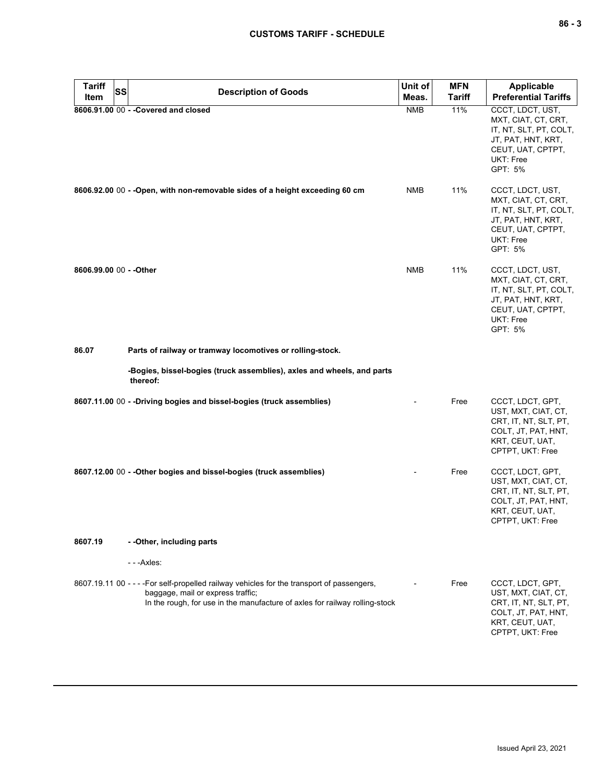| <b>Tariff</b><br><b>SS</b> | <b>Description of Goods</b>                                                                                                                                                                                    | Unit of    | <b>MFN</b>    | <b>Applicable</b>                                                                                                                    |
|----------------------------|----------------------------------------------------------------------------------------------------------------------------------------------------------------------------------------------------------------|------------|---------------|--------------------------------------------------------------------------------------------------------------------------------------|
| Item                       |                                                                                                                                                                                                                | Meas.      | <b>Tariff</b> | <b>Preferential Tariffs</b>                                                                                                          |
|                            | 8606.91.00 00 - - Covered and closed                                                                                                                                                                           | <b>NMB</b> | 11%           | CCCT, LDCT, UST,<br>MXT, CIAT, CT, CRT,<br>IT, NT, SLT, PT, COLT,<br>JT, PAT, HNT, KRT,<br>CEUT, UAT, CPTPT,<br>UKT: Free<br>GPT: 5% |
|                            | 8606.92.00 00 - - Open, with non-removable sides of a height exceeding 60 cm                                                                                                                                   | <b>NMB</b> | 11%           | CCCT, LDCT, UST,<br>MXT, CIAT, CT, CRT,<br>IT, NT, SLT, PT, COLT,<br>JT, PAT, HNT, KRT,<br>CEUT, UAT, CPTPT,<br>UKT: Free<br>GPT: 5% |
| 8606.99.00 00 - - Other    |                                                                                                                                                                                                                | <b>NMB</b> | 11%           | CCCT, LDCT, UST,<br>MXT, CIAT, CT, CRT,<br>IT, NT, SLT, PT, COLT,<br>JT, PAT, HNT, KRT,<br>CEUT, UAT, CPTPT,<br>UKT: Free<br>GPT: 5% |
| 86.07                      | Parts of railway or tramway locomotives or rolling-stock.                                                                                                                                                      |            |               |                                                                                                                                      |
|                            | -Bogies, bissel-bogies (truck assemblies), axles and wheels, and parts<br>thereof:                                                                                                                             |            |               |                                                                                                                                      |
|                            | 8607.11.00 00 - - Driving bogies and bissel-bogies (truck assemblies)                                                                                                                                          |            | Free          | CCCT, LDCT, GPT,<br>UST, MXT, CIAT, CT,<br>CRT, IT, NT, SLT, PT,<br>COLT, JT, PAT, HNT,<br>KRT, CEUT, UAT,<br>CPTPT, UKT: Free       |
|                            | 8607.12.00 00 - - Other bogies and bissel-bogies (truck assemblies)                                                                                                                                            |            | Free          | CCCT, LDCT, GPT,<br>UST, MXT, CIAT, CT,<br>CRT, IT, NT, SLT, PT,<br>COLT, JT, PAT, HNT,<br>KRT, CEUT, UAT,<br>CPTPT, UKT: Free       |
| 8607.19                    | - - Other, including parts                                                                                                                                                                                     |            |               |                                                                                                                                      |
|                            | - - - Axles:                                                                                                                                                                                                   |            |               |                                                                                                                                      |
|                            | 8607.19.11 00 - - - - For self-propelled railway vehicles for the transport of passengers,<br>baggage, mail or express traffic;<br>In the rough, for use in the manufacture of axles for railway rolling-stock |            | Free          | CCCT, LDCT, GPT,<br>UST, MXT, CIAT, CT,<br>CRT, IT, NT, SLT, PT,<br>COLT, JT, PAT, HNT,<br>KRT, CEUT, UAT,<br>CPTPT, UKT: Free       |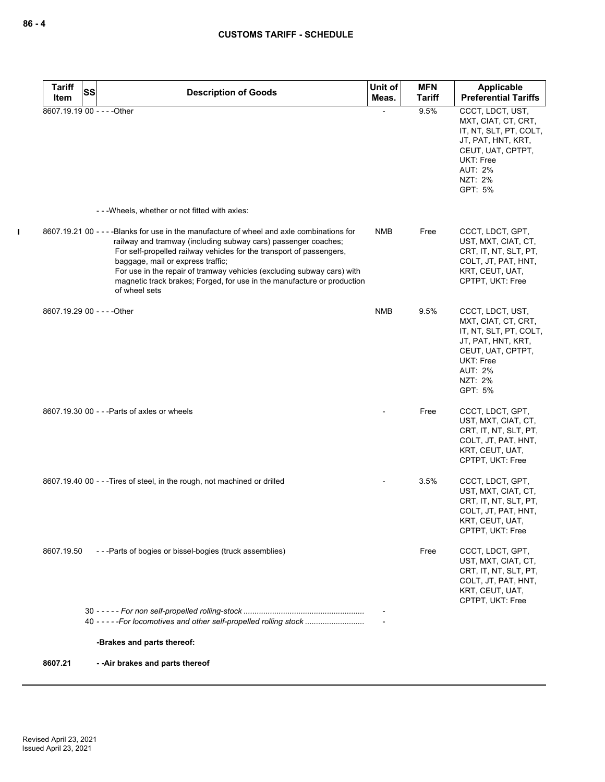| <b>Tariff</b> | <b>SS</b><br><b>Description of Goods</b>                                                                                                                                                                                                                                                                                                                                                                                                        | Unit of    | <b>MFN</b>    | Applicable                                                                                                                                                               |
|---------------|-------------------------------------------------------------------------------------------------------------------------------------------------------------------------------------------------------------------------------------------------------------------------------------------------------------------------------------------------------------------------------------------------------------------------------------------------|------------|---------------|--------------------------------------------------------------------------------------------------------------------------------------------------------------------------|
| Item          |                                                                                                                                                                                                                                                                                                                                                                                                                                                 | Meas.      | <b>Tariff</b> | <b>Preferential Tariffs</b>                                                                                                                                              |
|               | 8607.19.19 00 - - - - Other                                                                                                                                                                                                                                                                                                                                                                                                                     |            | 9.5%          | CCCT, LDCT, UST,<br>MXT, CIAT, CT, CRT,<br>IT, NT, SLT, PT, COLT,<br>JT, PAT, HNT, KRT,<br>CEUT, UAT, CPTPT,<br><b>UKT: Free</b><br><b>AUT: 2%</b><br>NZT: 2%<br>GPT: 5% |
|               | --- Wheels, whether or not fitted with axles:                                                                                                                                                                                                                                                                                                                                                                                                   |            |               |                                                                                                                                                                          |
|               | 8607.19.21 00 - - - - Blanks for use in the manufacture of wheel and axle combinations for<br>railway and tramway (including subway cars) passenger coaches;<br>For self-propelled railway vehicles for the transport of passengers,<br>baggage, mail or express traffic;<br>For use in the repair of tramway vehicles (excluding subway cars) with<br>magnetic track brakes; Forged, for use in the manufacture or production<br>of wheel sets | <b>NMB</b> | Free          | CCCT, LDCT, GPT,<br>UST, MXT, CIAT, CT,<br>CRT, IT, NT, SLT, PT,<br>COLT, JT, PAT, HNT,<br>KRT, CEUT, UAT,<br>CPTPT, UKT: Free                                           |
|               | 8607.19.29 00 - - - - Other                                                                                                                                                                                                                                                                                                                                                                                                                     | <b>NMB</b> | 9.5%          | CCCT, LDCT, UST,<br>MXT, CIAT, CT, CRT,<br>IT, NT, SLT, PT, COLT,<br>JT, PAT, HNT, KRT,<br>CEUT, UAT, CPTPT,<br><b>UKT: Free</b><br><b>AUT: 2%</b><br>NZT: 2%<br>GPT: 5% |
|               | 8607.19.30 00 - - - Parts of axles or wheels                                                                                                                                                                                                                                                                                                                                                                                                    |            | Free          | CCCT, LDCT, GPT,<br>UST, MXT, CIAT, CT,<br>CRT, IT, NT, SLT, PT,<br>COLT, JT, PAT, HNT,<br>KRT, CEUT, UAT,<br>CPTPT, UKT: Free                                           |
|               | 8607.19.40 00 - - - Tires of steel, in the rough, not machined or drilled                                                                                                                                                                                                                                                                                                                                                                       |            | 3.5%          | CCCT, LDCT, GPT,<br>UST, MXT, CIAT, CT,<br>CRT, IT, NT, SLT, PT,<br>COLT, JT, PAT, HNT,<br>KRT, CEUT, UAT,<br>CPTPT, UKT: Free                                           |
| 8607.19.50    | ---Parts of bogies or bissel-bogies (truck assemblies)                                                                                                                                                                                                                                                                                                                                                                                          |            | Free          | CCCT, LDCT, GPT,<br>UST, MXT, CIAT, CT,<br>CRT, IT, NT, SLT, PT,<br>COLT, JT, PAT, HNT,<br>KRT, CEUT, UAT,<br>CPTPT, UKT: Free                                           |
|               | 40 - - - - - For locomotives and other self-propelled rolling stock                                                                                                                                                                                                                                                                                                                                                                             |            |               |                                                                                                                                                                          |
|               | -Brakes and parts thereof:                                                                                                                                                                                                                                                                                                                                                                                                                      |            |               |                                                                                                                                                                          |
| 8607.21       | --Air brakes and parts thereof                                                                                                                                                                                                                                                                                                                                                                                                                  |            |               |                                                                                                                                                                          |

 $\blacksquare$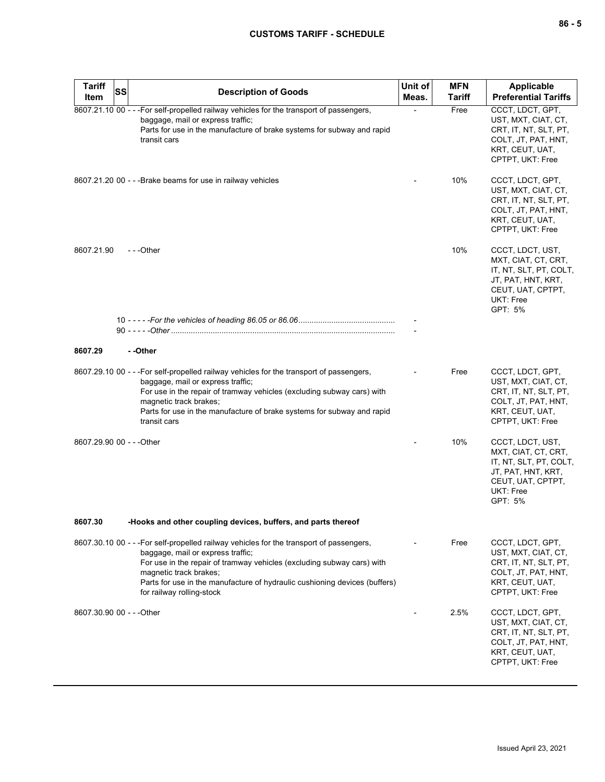| <b>Tariff</b><br>Item     | <b>SS</b> | <b>Description of Goods</b>                                                                                                                                                                                                                                                                                                                  | Unit of<br>Meas. | <b>MFN</b><br><b>Tariff</b> | <b>Applicable</b><br><b>Preferential Tariffs</b>                                                                                     |
|---------------------------|-----------|----------------------------------------------------------------------------------------------------------------------------------------------------------------------------------------------------------------------------------------------------------------------------------------------------------------------------------------------|------------------|-----------------------------|--------------------------------------------------------------------------------------------------------------------------------------|
|                           |           | 8607.21.10 00 - - -For self-propelled railway vehicles for the transport of passengers,<br>baggage, mail or express traffic;<br>Parts for use in the manufacture of brake systems for subway and rapid<br>transit cars                                                                                                                       |                  | Free                        | CCCT, LDCT, GPT,<br>UST, MXT, CIAT, CT,<br>CRT, IT, NT, SLT, PT,<br>COLT, JT, PAT, HNT,<br>KRT, CEUT, UAT,<br>CPTPT, UKT: Free       |
|                           |           | 8607.21.20 00 - - - Brake beams for use in railway vehicles                                                                                                                                                                                                                                                                                  |                  | 10%                         | CCCT, LDCT, GPT,<br>UST, MXT, CIAT, CT,<br>CRT, IT, NT, SLT, PT,<br>COLT, JT, PAT, HNT,<br>KRT, CEUT, UAT,<br>CPTPT, UKT: Free       |
| 8607.21.90                |           | ---Other                                                                                                                                                                                                                                                                                                                                     |                  | 10%                         | CCCT, LDCT, UST,<br>MXT, CIAT, CT, CRT,<br>IT, NT, SLT, PT, COLT,<br>JT, PAT, HNT, KRT,<br>CEUT, UAT, CPTPT,<br>UKT: Free<br>GPT: 5% |
|                           |           |                                                                                                                                                                                                                                                                                                                                              |                  |                             |                                                                                                                                      |
| 8607.29                   |           | - -Other                                                                                                                                                                                                                                                                                                                                     |                  |                             |                                                                                                                                      |
|                           |           | 8607.29.10 00 - - - For self-propelled railway vehicles for the transport of passengers,<br>baggage, mail or express traffic;<br>For use in the repair of tramway vehicles (excluding subway cars) with<br>magnetic track brakes;<br>Parts for use in the manufacture of brake systems for subway and rapid<br>transit cars                  |                  | Free                        | CCCT, LDCT, GPT,<br>UST, MXT, CIAT, CT,<br>CRT, IT, NT, SLT, PT,<br>COLT, JT, PAT, HNT,<br>KRT, CEUT, UAT,<br>CPTPT, UKT: Free       |
| 8607.29.90 00 - - - Other |           |                                                                                                                                                                                                                                                                                                                                              |                  | 10%                         | CCCT, LDCT, UST,<br>MXT, CIAT, CT, CRT,<br>IT, NT, SLT, PT, COLT,<br>JT, PAT, HNT, KRT,<br>CEUT, UAT, CPTPT,<br>UKT: Free<br>GPT: 5% |
| 8607.30                   |           | -Hooks and other coupling devices, buffers, and parts thereof                                                                                                                                                                                                                                                                                |                  |                             |                                                                                                                                      |
|                           |           | 8607.30.10 00 - - - For self-propelled railway vehicles for the transport of passengers,<br>baggage, mail or express traffic;<br>For use in the repair of tramway vehicles (excluding subway cars) with<br>magnetic track brakes;<br>Parts for use in the manufacture of hydraulic cushioning devices (buffers)<br>for railway rolling-stock |                  | Free                        | CCCT, LDCT, GPT,<br>UST, MXT, CIAT, CT,<br>CRT, IT, NT, SLT, PT,<br>COLT, JT, PAT, HNT,<br>KRT, CEUT, UAT,<br>CPTPT, UKT: Free       |
| 8607.30.90 00 - - - Other |           |                                                                                                                                                                                                                                                                                                                                              |                  | 2.5%                        | CCCT, LDCT, GPT,<br>UST, MXT, CIAT, CT,<br>CRT, IT, NT, SLT, PT,<br>COLT, JT, PAT, HNT,<br>KRT, CEUT, UAT,<br>CPTPT, UKT: Free       |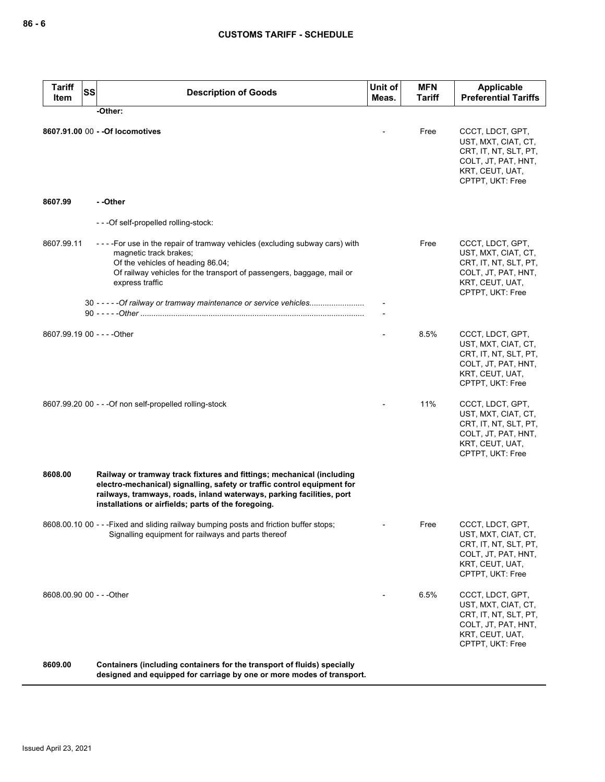| <b>Tariff</b><br>Item | <b>SS</b><br><b>Description of Goods</b>                                                                                                                                                                                                                                         | Unit of<br>Meas. | <b>MFN</b><br>Tariff | <b>Applicable</b><br><b>Preferential Tariffs</b>                                                                               |
|-----------------------|----------------------------------------------------------------------------------------------------------------------------------------------------------------------------------------------------------------------------------------------------------------------------------|------------------|----------------------|--------------------------------------------------------------------------------------------------------------------------------|
|                       | -Other:                                                                                                                                                                                                                                                                          |                  |                      |                                                                                                                                |
|                       | 8607.91.00 00 - - Of locomotives                                                                                                                                                                                                                                                 |                  | Free                 | CCCT, LDCT, GPT,<br>UST, MXT, CIAT, CT,<br>CRT, IT, NT, SLT, PT,<br>COLT, JT, PAT, HNT,<br>KRT, CEUT, UAT,<br>CPTPT, UKT: Free |
| 8607.99               | - -Other                                                                                                                                                                                                                                                                         |                  |                      |                                                                                                                                |
|                       | ---Of self-propelled rolling-stock:                                                                                                                                                                                                                                              |                  |                      |                                                                                                                                |
| 8607.99.11            | ----For use in the repair of tramway vehicles (excluding subway cars) with<br>magnetic track brakes;<br>Of the vehicles of heading 86.04;<br>Of railway vehicles for the transport of passengers, baggage, mail or<br>express traffic                                            |                  | Free                 | CCCT, LDCT, GPT,<br>UST, MXT, CIAT, CT,<br>CRT, IT, NT, SLT, PT,<br>COLT, JT, PAT, HNT,<br>KRT, CEUT, UAT,<br>CPTPT, UKT: Free |
|                       | 30 - - - - - Of railway or tramway maintenance or service vehicles                                                                                                                                                                                                               |                  |                      |                                                                                                                                |
|                       | 8607.99.19 00 - - - - Other                                                                                                                                                                                                                                                      |                  | 8.5%                 | CCCT, LDCT, GPT,<br>UST, MXT, CIAT, CT,<br>CRT, IT, NT, SLT, PT,<br>COLT, JT, PAT, HNT,<br>KRT, CEUT, UAT,<br>CPTPT, UKT: Free |
|                       | 8607.99.20 00 - - - Of non self-propelled rolling-stock                                                                                                                                                                                                                          |                  | 11%                  | CCCT, LDCT, GPT,<br>UST, MXT, CIAT, CT,<br>CRT, IT, NT, SLT, PT,<br>COLT, JT, PAT, HNT,<br>KRT, CEUT, UAT,<br>CPTPT, UKT: Free |
| 8608.00               | Railway or tramway track fixtures and fittings; mechanical (including<br>electro-mechanical) signalling, safety or traffic control equipment for<br>railways, tramways, roads, inland waterways, parking facilities, port<br>installations or airfields; parts of the foregoing. |                  |                      |                                                                                                                                |
|                       | 8608.00.10 00 - - - Fixed and sliding railway bumping posts and friction buffer stops;<br>Signalling equipment for railways and parts thereof                                                                                                                                    |                  | Free                 | CCCT, LDCT, GPT,<br>UST, MXT, CIAT, CT,<br>CRT, IT, NT, SLT, PT,<br>COLT, JT, PAT, HNT,<br>KRT, CEUT, UAT,<br>CPTPT, UKT: Free |
|                       | 8608.00.90 00 - - - Other                                                                                                                                                                                                                                                        |                  | 6.5%                 | CCCT, LDCT, GPT,<br>UST, MXT, CIAT, CT,<br>CRT, IT, NT, SLT, PT,<br>COLT, JT, PAT, HNT,<br>KRT, CEUT, UAT,<br>CPTPT, UKT: Free |
| 8609.00               | Containers (including containers for the transport of fluids) specially<br>designed and equipped for carriage by one or more modes of transport.                                                                                                                                 |                  |                      |                                                                                                                                |